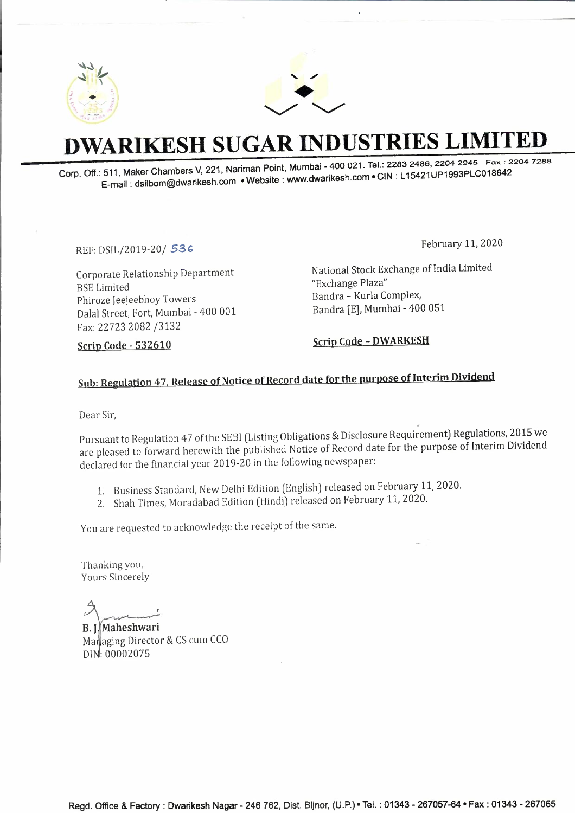



## **DWARIKESH SUGAR INDUSTRIES LIMITED**

**Corp. Off.: 511, Maker Chambers V, 221, Nariman Point, Mumbai - 400 021. Tel.: 2283 2486, 2204 2945** Fax : **2204 7288 E-mail: dsilbom@dwarikesh.com •Website: www.dwarikesh.com • CIN: L 15421UP1993PLC018G42** 

REF: DSIL/2019-20/ *53,* 

Corporate Relationship Department BSE Limited Phiroze Jeejeebhoy Towers Dalal Street, Fort, Mumbai - 400 001 Fax: 22723 2082 /3132

February 11, 2020

National Stock Exchange of India Limited "Exchange Plaza" Sandra - Kurla Complex, Bandra (E], Mumbai - 400 051

**Scrip Code - 532610** 

**Scrip Code - DWARKESH** 

## Sub: Regulation 47, Release of Notice of Record date for the purpose of Interim Dividend

Dear Sir,

Pursuant to Regulation 47 of the SEBI (Listing Obligations & Disclosure Requirement) Regulations, 2015 we are pleased to forward herewith the published Notice of Record date for the purpose of Interim Dividend declared for the financial year 2019-20 in the following newspaper:

- 1. Business Standard, New Delhi Edition (English) released on February 11, 2020.
- 2. Shah Times, Moradabad Edition (Hindi) released on February 11, 2020.

You are requested to acknowledge the receipt of the same.

Thanking you, Yours Sincerely

*(.* 

**B. Maheshwari** Managing Director & CS cum CCO DI : 00002075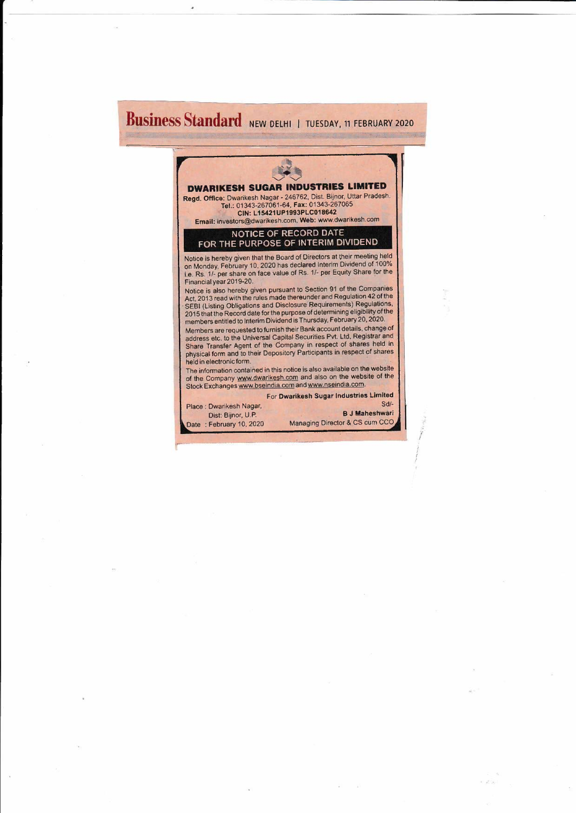## **Business Standard** NEW DELHI | TUESDAY, 11 FEBRUARY 2020

 $\bar{\bar{z}}$ 

|                          | <b>DWARIKESH SUGAR INDUSTRIES LIMITED</b>                                                                                                                                                                                                                                                                                                                                   |
|--------------------------|-----------------------------------------------------------------------------------------------------------------------------------------------------------------------------------------------------------------------------------------------------------------------------------------------------------------------------------------------------------------------------|
|                          | Regd. Office: Dwarikesh Nagar - 246762, Dist. Bijnor, Uttar Pradesh.<br>Tel.: 01343-267061-64, Fax: 01343-267065<br>CIN: L15421UP1993PLC018642<br>Email: investors@dwarikesh.com, Web: www.dwarikesh.com                                                                                                                                                                    |
|                          |                                                                                                                                                                                                                                                                                                                                                                             |
|                          | <b>NOTICE OF RECORD DATE</b><br>FOR THE PURPOSE OF INTERIM DIVIDEND                                                                                                                                                                                                                                                                                                         |
| Financial year 2019-20.  | Notice is hereby given that the Board of Directors at their meeting held<br>on Monday, February 10, 2020 has declared Interim Dividend of 100%<br>i.e. Rs. 1/- per share on face value of Rs. 1/- per Equity Share for the                                                                                                                                                  |
|                          | Notice is also hereby given pursuant to Section 91 of the Companies<br>Act, 2013 read with the rules made thereunder and Regulation 42 of the<br>SEBI (Listing Obligations and Disclosure Requirements) Regulations,<br>2015 that the Record date for the purpose of determining eligibility of the<br>members entitled to Interim Dividend is Thursday, February 20, 2020. |
| held in electronic form. | Members are requested to furnish their Bank account details, change of<br>address etc. to the Universal Capital Securities Pvt. Ltd, Registrar and<br>Share Transfer Agent of the Company in respect of shares held in<br>physical form and to their Depository Participants in respect of shares                                                                           |
|                          | The information contained in this notice is also available on the website<br>of the Company www.dwarikesh.com and also on the website of the<br>Stock Exchanges www.bseindia.com and www.nseindia.com.                                                                                                                                                                      |
|                          | For Dwarikesh Sugar Industries Limited                                                                                                                                                                                                                                                                                                                                      |
| Place: Dwarikesh Nagar,  | $Sd$ -                                                                                                                                                                                                                                                                                                                                                                      |
| Dist: Bijnor, U.P.       | <b>B.J Maheshwari</b>                                                                                                                                                                                                                                                                                                                                                       |

*'( I*